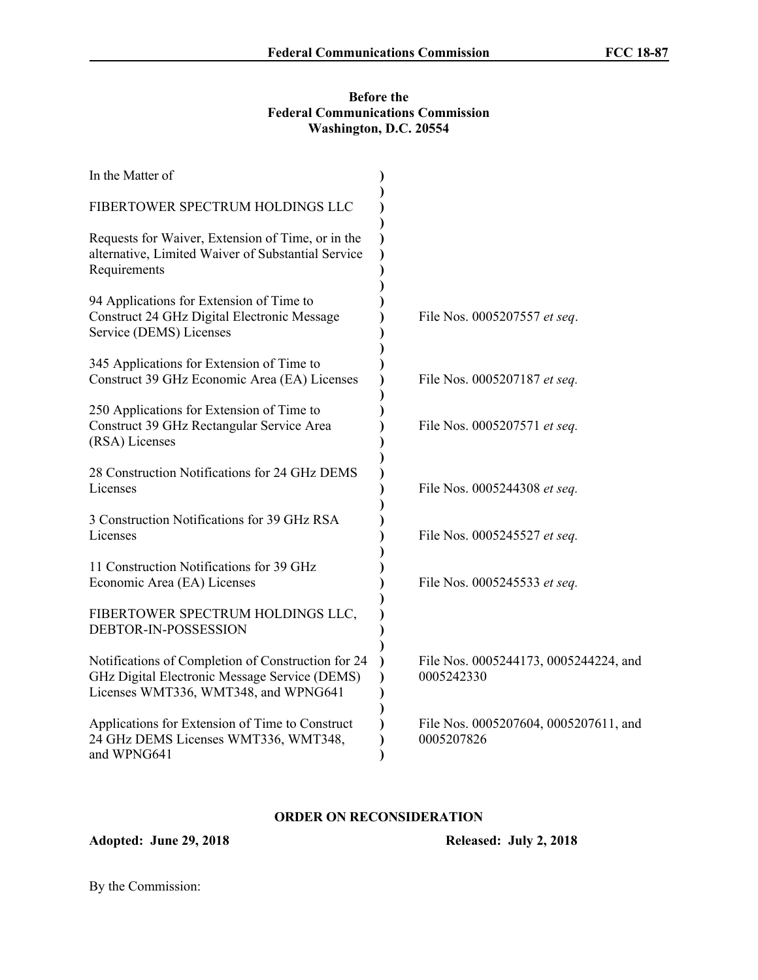## **Before the Federal Communications Commission Washington, D.C. 20554**

| In the Matter of                                                                                                                            |                                                     |
|---------------------------------------------------------------------------------------------------------------------------------------------|-----------------------------------------------------|
| FIBERTOWER SPECTRUM HOLDINGS LLC                                                                                                            |                                                     |
| Requests for Waiver, Extension of Time, or in the<br>alternative, Limited Waiver of Substantial Service<br>Requirements                     |                                                     |
| 94 Applications for Extension of Time to<br>Construct 24 GHz Digital Electronic Message<br>Service (DEMS) Licenses                          | File Nos. 0005207557 et seq.                        |
| 345 Applications for Extension of Time to<br>Construct 39 GHz Economic Area (EA) Licenses                                                   | File Nos. 0005207187 et seq.                        |
| 250 Applications for Extension of Time to<br>Construct 39 GHz Rectangular Service Area<br>(RSA) Licenses                                    | File Nos. 0005207571 et seq.                        |
| 28 Construction Notifications for 24 GHz DEMS<br>Licenses                                                                                   | File Nos. 0005244308 et seq.                        |
| 3 Construction Notifications for 39 GHz RSA<br>Licenses                                                                                     | File Nos. 0005245527 et seq.                        |
| 11 Construction Notifications for 39 GHz<br>Economic Area (EA) Licenses                                                                     | File Nos. 0005245533 et seq.                        |
| FIBERTOWER SPECTRUM HOLDINGS LLC,<br>DEBTOR-IN-POSSESSION                                                                                   |                                                     |
| Notifications of Completion of Construction for 24<br>GHz Digital Electronic Message Service (DEMS)<br>Licenses WMT336, WMT348, and WPNG641 | File Nos. 0005244173, 0005244224, and<br>0005242330 |
| Applications for Extension of Time to Construct<br>24 GHz DEMS Licenses WMT336, WMT348,<br>and WPNG641                                      | File Nos. 0005207604, 0005207611, and<br>0005207826 |

# **ORDER ON RECONSIDERATION**

**Adopted: June 29, 2018 Released: July 2, 2018**

By the Commission: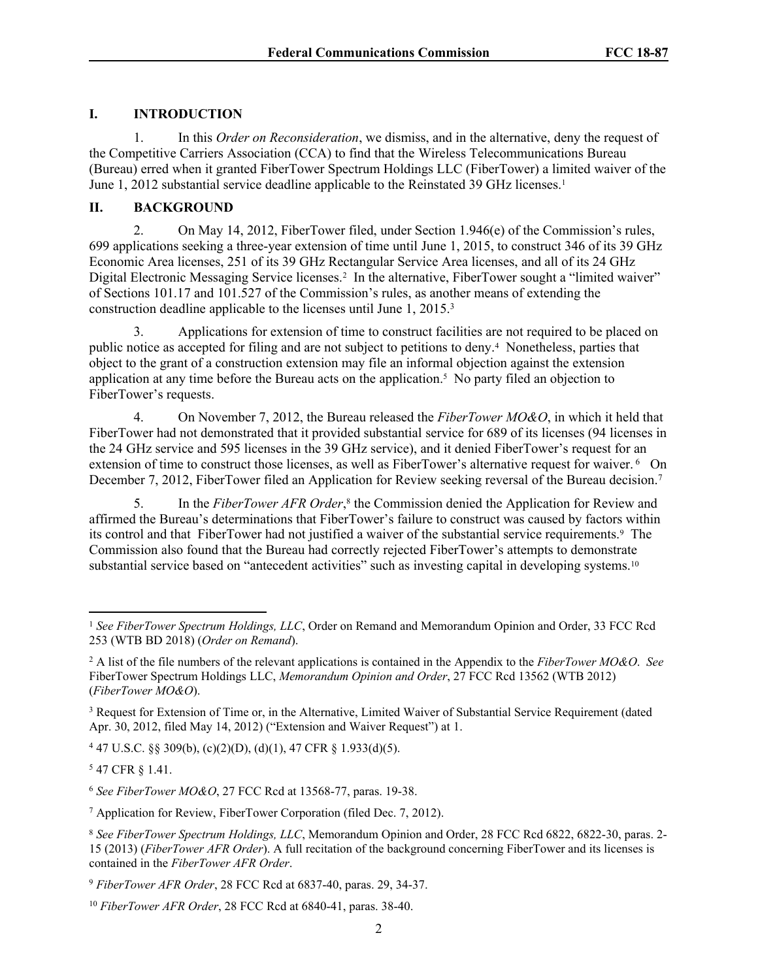# **I. INTRODUCTION**

1. In this *Order on Reconsideration*, we dismiss, and in the alternative, deny the request of the Competitive Carriers Association (CCA) to find that the Wireless Telecommunications Bureau (Bureau) erred when it granted FiberTower Spectrum Holdings LLC (FiberTower) a limited waiver of the June 1, 2012 substantial service deadline applicable to the Reinstated 39 GHz licenses.<sup>1</sup>

## **II. BACKGROUND**

2. On May 14, 2012, FiberTower filed, under Section 1.946(e) of the Commission's rules, 699 applications seeking a three-year extension of time until June 1, 2015, to construct 346 of its 39 GHz Economic Area licenses, 251 of its 39 GHz Rectangular Service Area licenses, and all of its 24 GHz Digital Electronic Messaging Service licenses.<sup>2</sup> In the alternative, FiberTower sought a "limited waiver" of Sections 101.17 and 101.527 of the Commission's rules, as another means of extending the construction deadline applicable to the licenses until June 1, 2015.<sup>3</sup>

3. Applications for extension of time to construct facilities are not required to be placed on public notice as accepted for filing and are not subject to petitions to deny.<sup>4</sup> Nonetheless, parties that object to the grant of a construction extension may file an informal objection against the extension application at any time before the Bureau acts on the application.<sup>5</sup> No party filed an objection to FiberTower's requests.

4. On November 7, 2012, the Bureau released the *FiberTower MO&O*, in which it held that FiberTower had not demonstrated that it provided substantial service for 689 of its licenses (94 licenses in the 24 GHz service and 595 licenses in the 39 GHz service), and it denied FiberTower's request for an extension of time to construct those licenses, as well as FiberTower's alternative request for waiver. <sup>6</sup> On December 7, 2012, FiberTower filed an Application for Review seeking reversal of the Bureau decision.<sup>7</sup>

5. In the *FiberTower AFR Order*, 8 the Commission denied the Application for Review and affirmed the Bureau's determinations that FiberTower's failure to construct was caused by factors within its control and that FiberTower had not justified a waiver of the substantial service requirements.<sup>9</sup> The Commission also found that the Bureau had correctly rejected FiberTower's attempts to demonstrate substantial service based on "antecedent activities" such as investing capital in developing systems.<sup>10</sup>

<sup>4</sup> 47 U.S.C. §§ 309(b), (c)(2)(D), (d)(1), 47 CFR § 1.933(d)(5).

<sup>5</sup> 47 CFR § 1.41.

<sup>1</sup> *See FiberTower Spectrum Holdings, LLC*, Order on Remand and Memorandum Opinion and Order, 33 FCC Rcd 253 (WTB BD 2018) (*Order on Remand*).

<sup>2</sup> A list of the file numbers of the relevant applications is contained in the Appendix to the *FiberTower MO&O*. *See* FiberTower Spectrum Holdings LLC, *Memorandum Opinion and Order*, 27 FCC Rcd 13562 (WTB 2012) (*FiberTower MO&O*).

<sup>3</sup> Request for Extension of Time or, in the Alternative, Limited Waiver of Substantial Service Requirement (dated Apr. 30, 2012, filed May 14, 2012) ("Extension and Waiver Request") at 1.

<sup>6</sup> *See FiberTower MO&O*, 27 FCC Rcd at 13568-77, paras. 19-38.

<sup>7</sup> Application for Review, FiberTower Corporation (filed Dec. 7, 2012).

<sup>8</sup> *See FiberTower Spectrum Holdings, LLC*, Memorandum Opinion and Order, 28 FCC Rcd 6822, 6822-30, paras. 2- 15 (2013) (*FiberTower AFR Order*). A full recitation of the background concerning FiberTower and its licenses is contained in the *FiberTower AFR Order*.

<sup>9</sup> *FiberTower AFR Order*, 28 FCC Rcd at 6837-40, paras. 29, 34-37.

<sup>10</sup> *FiberTower AFR Order*, 28 FCC Rcd at 6840-41, paras. 38-40.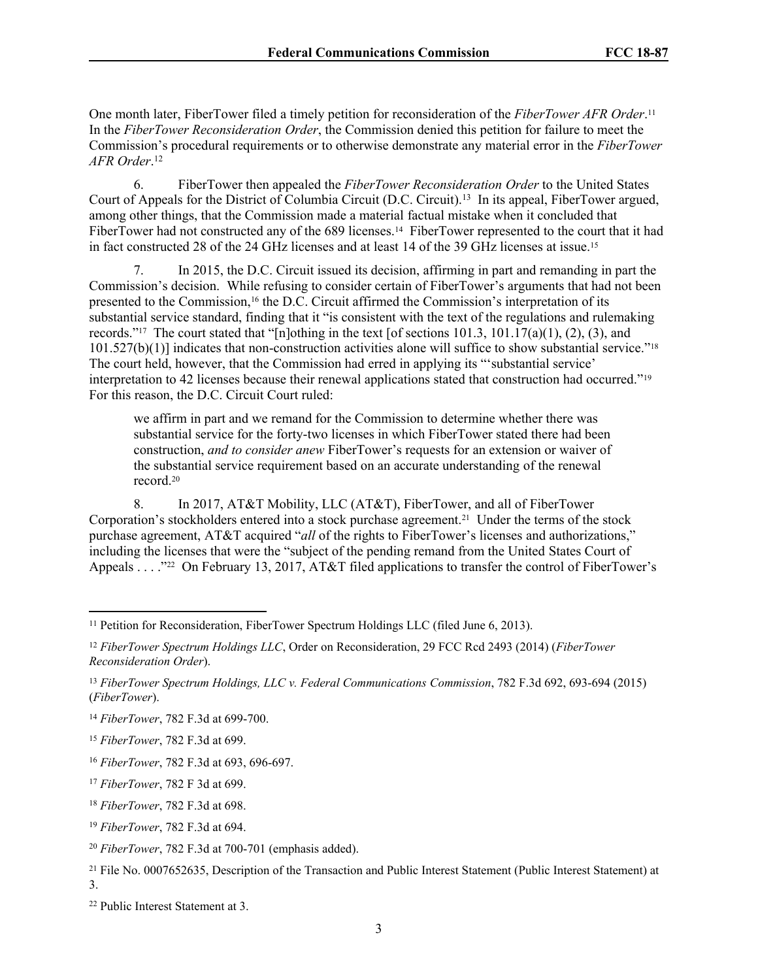One month later, FiberTower filed a timely petition for reconsideration of the *FiberTower AFR Order*. 11 In the *FiberTower Reconsideration Order*, the Commission denied this petition for failure to meet the Commission's procedural requirements or to otherwise demonstrate any material error in the *FiberTower AFR Order*. 12

6. FiberTower then appealed the *FiberTower Reconsideration Order* to the United States Court of Appeals for the District of Columbia Circuit (D.C. Circuit).<sup>13</sup> In its appeal, FiberTower argued, among other things, that the Commission made a material factual mistake when it concluded that FiberTower had not constructed any of the 689 licenses.<sup>14</sup> FiberTower represented to the court that it had in fact constructed 28 of the 24 GHz licenses and at least 14 of the 39 GHz licenses at issue.<sup>15</sup>

7. In 2015, the D.C. Circuit issued its decision, affirming in part and remanding in part the Commission's decision. While refusing to consider certain of FiberTower's arguments that had not been presented to the Commission,<sup>16</sup> the D.C. Circuit affirmed the Commission's interpretation of its substantial service standard, finding that it "is consistent with the text of the regulations and rulemaking records."<sup>17</sup> The court stated that "[n]othing in the text [of sections  $101.3$ ,  $101.17(a)(1)$ ,  $(2)$ ,  $(3)$ , and  $101.527(b)(1)$ ] indicates that non-construction activities alone will suffice to show substantial service."<sup>18</sup> The court held, however, that the Commission had erred in applying its "'substantial service' interpretation to 42 licenses because their renewal applications stated that construction had occurred."<sup>19</sup> For this reason, the D.C. Circuit Court ruled:

we affirm in part and we remand for the Commission to determine whether there was substantial service for the forty-two licenses in which FiberTower stated there had been construction, *and to consider anew* FiberTower's requests for an extension or waiver of the substantial service requirement based on an accurate understanding of the renewal record<sup>20</sup>

8. In 2017, AT&T Mobility, LLC (AT&T), FiberTower, and all of FiberTower Corporation's stockholders entered into a stock purchase agreement.<sup>21</sup> Under the terms of the stock purchase agreement, AT&T acquired "*all* of the rights to FiberTower's licenses and authorizations," including the licenses that were the "subject of the pending remand from the United States Court of Appeals . . . . "22 On February 13, 2017, AT&T filed applications to transfer the control of FiberTower's

<sup>&</sup>lt;sup>11</sup> Petition for Reconsideration, FiberTower Spectrum Holdings LLC (filed June 6, 2013).

<sup>12</sup> *FiberTower Spectrum Holdings LLC*, Order on Reconsideration, 29 FCC Rcd 2493 (2014) (*FiberTower Reconsideration Order*).

<sup>13</sup> *FiberTower Spectrum Holdings, LLC v. Federal Communications Commission*, 782 F.3d 692, 693-694 (2015) (*FiberTower*).

<sup>14</sup> *FiberTower*, 782 F.3d at 699-700.

<sup>15</sup> *FiberTower*, 782 F.3d at 699.

<sup>16</sup> *FiberTower*, 782 F.3d at 693, 696-697.

<sup>17</sup> *FiberTower*, 782 F 3d at 699.

<sup>18</sup> *FiberTower*, 782 F.3d at 698.

<sup>19</sup> *FiberTower*, 782 F.3d at 694.

<sup>20</sup> *FiberTower*, 782 F.3d at 700-701 (emphasis added).

<sup>21</sup> File No. 0007652635, Description of the Transaction and Public Interest Statement (Public Interest Statement) at 3.

<sup>22</sup> Public Interest Statement at 3.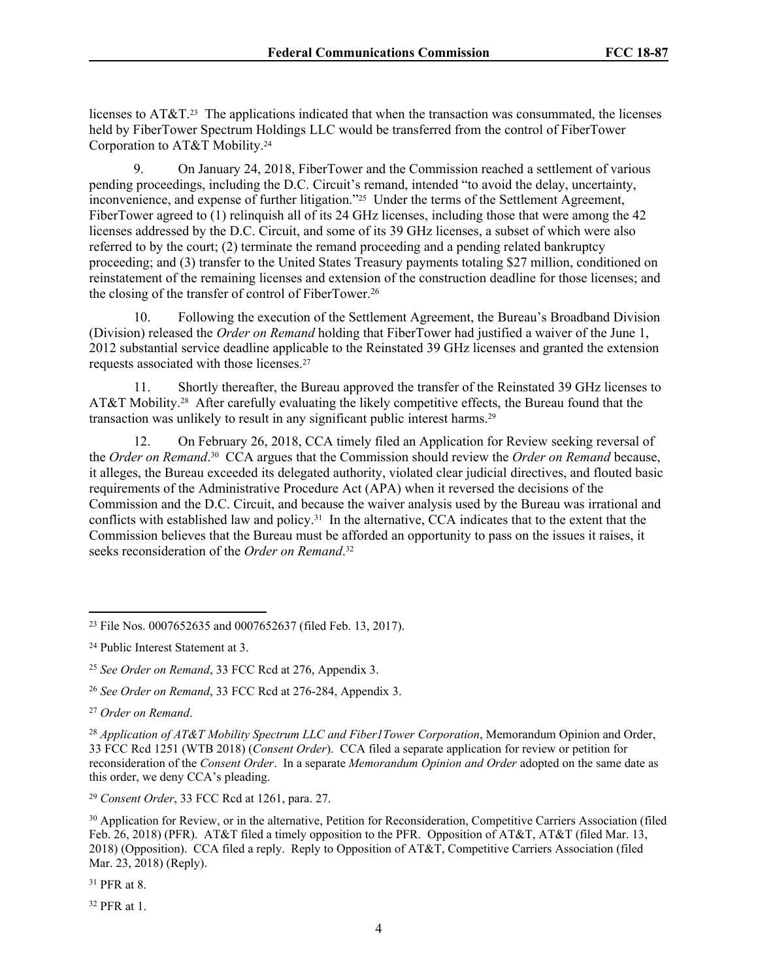licenses to AT&T.<sup>23</sup> The applications indicated that when the transaction was consummated, the licenses held by FiberTower Spectrum Holdings LLC would be transferred from the control of FiberTower Corporation to AT&T Mobility.<sup>24</sup>

9. On January 24, 2018, FiberTower and the Commission reached a settlement of various pending proceedings, including the D.C. Circuit's remand, intended "to avoid the delay, uncertainty, inconvenience, and expense of further litigation."<sup>25</sup> Under the terms of the Settlement Agreement, FiberTower agreed to (1) relinquish all of its 24 GHz licenses, including those that were among the 42 licenses addressed by the D.C. Circuit, and some of its 39 GHz licenses, a subset of which were also referred to by the court; (2) terminate the remand proceeding and a pending related bankruptcy proceeding; and (3) transfer to the United States Treasury payments totaling \$27 million, conditioned on reinstatement of the remaining licenses and extension of the construction deadline for those licenses; and the closing of the transfer of control of FiberTower.<sup>26</sup>

10. Following the execution of the Settlement Agreement, the Bureau's Broadband Division (Division) released the *Order on Remand* holding that FiberTower had justified a waiver of the June 1, 2012 substantial service deadline applicable to the Reinstated 39 GHz licenses and granted the extension requests associated with those licenses.<sup>27</sup>

11. Shortly thereafter, the Bureau approved the transfer of the Reinstated 39 GHz licenses to AT&T Mobility.<sup>28</sup> After carefully evaluating the likely competitive effects, the Bureau found that the transaction was unlikely to result in any significant public interest harms.<sup>29</sup>

12. On February 26, 2018, CCA timely filed an Application for Review seeking reversal of the *Order on Remand*. 30 CCA argues that the Commission should review the *Order on Remand* because, it alleges, the Bureau exceeded its delegated authority, violated clear judicial directives, and flouted basic requirements of the Administrative Procedure Act (APA) when it reversed the decisions of the Commission and the D.C. Circuit, and because the waiver analysis used by the Bureau was irrational and conflicts with established law and policy.<sup>31</sup> In the alternative, CCA indicates that to the extent that the Commission believes that the Bureau must be afforded an opportunity to pass on the issues it raises, it seeks reconsideration of the *Order on Remand*. 32

<sup>31</sup> PFR at 8.

<sup>32</sup> PFR at 1.

<sup>23</sup> File Nos. 0007652635 and 0007652637 (filed Feb. 13, 2017).

<sup>24</sup> Public Interest Statement at 3.

<sup>25</sup> *See Order on Remand*, 33 FCC Rcd at 276, Appendix 3.

<sup>26</sup> *See Order on Remand*, 33 FCC Rcd at 276-284, Appendix 3.

<sup>27</sup> *Order on Remand*.

<sup>28</sup> *Application of AT&T Mobility Spectrum LLC and Fiber1Tower Corporation*, Memorandum Opinion and Order, 33 FCC Rcd 1251 (WTB 2018) (*Consent Order*). CCA filed a separate application for review or petition for reconsideration of the *Consent Order*. In a separate *Memorandum Opinion and Order* adopted on the same date as this order, we deny CCA's pleading.

<sup>29</sup> *Consent Order*, 33 FCC Rcd at 1261, para. 27.

<sup>&</sup>lt;sup>30</sup> Application for Review, or in the alternative, Petition for Reconsideration, Competitive Carriers Association (filed Feb. 26, 2018) (PFR). AT&T filed a timely opposition to the PFR. Opposition of AT&T, AT&T (filed Mar. 13, 2018) (Opposition). CCA filed a reply. Reply to Opposition of  $AT&T$ , Competitive Carriers Association (filed Mar. 23, 2018) (Reply).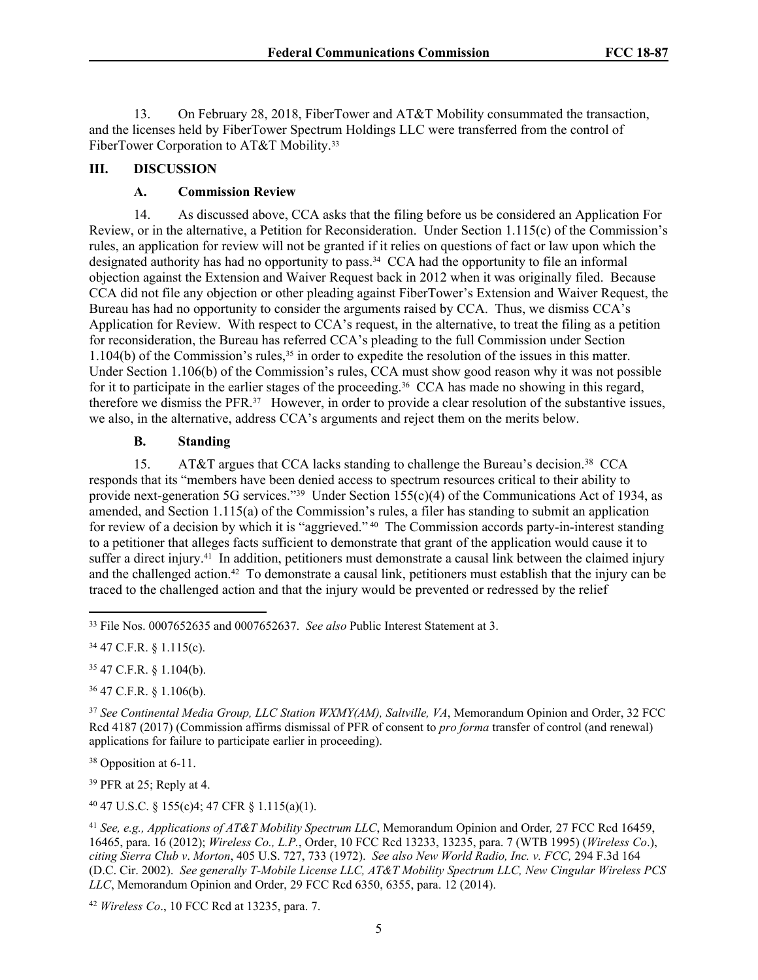13. On February 28, 2018, FiberTower and AT&T Mobility consummated the transaction, and the licenses held by FiberTower Spectrum Holdings LLC were transferred from the control of FiberTower Corporation to AT&T Mobility.<sup>33</sup>

## **III. DISCUSSION**

## **A. Commission Review**

14. As discussed above, CCA asks that the filing before us be considered an Application For Review, or in the alternative, a Petition for Reconsideration. Under Section 1.115(c) of the Commission's rules, an application for review will not be granted if it relies on questions of fact or law upon which the designated authority has had no opportunity to pass.<sup>34</sup> CCA had the opportunity to file an informal objection against the Extension and Waiver Request back in 2012 when it was originally filed. Because CCA did not file any objection or other pleading against FiberTower's Extension and Waiver Request, the Bureau has had no opportunity to consider the arguments raised by CCA. Thus, we dismiss CCA's Application for Review. With respect to CCA's request, in the alternative, to treat the filing as a petition for reconsideration, the Bureau has referred CCA's pleading to the full Commission under Section 1.104(b) of the Commission's rules,<sup>35</sup> in order to expedite the resolution of the issues in this matter. Under Section 1.106(b) of the Commission's rules, CCA must show good reason why it was not possible for it to participate in the earlier stages of the proceeding.<sup>36</sup> CCA has made no showing in this regard, therefore we dismiss the PFR.<sup>37</sup> However, in order to provide a clear resolution of the substantive issues, we also, in the alternative, address CCA's arguments and reject them on the merits below.

#### **B. Standing**

15. AT&T argues that CCA lacks standing to challenge the Bureau's decision.<sup>38</sup> CCA responds that its "members have been denied access to spectrum resources critical to their ability to provide next-generation 5G services."<sup>39</sup> Under Section 155(c)(4) of the Communications Act of 1934, as amended, and Section 1.115(a) of the Commission's rules, a filer has standing to submit an application for review of a decision by which it is "aggrieved." <sup>40</sup> The Commission accords party-in-interest standing to a petitioner that alleges facts sufficient to demonstrate that grant of the application would cause it to suffer a direct injury.<sup>41</sup> In addition, petitioners must demonstrate a causal link between the claimed injury and the challenged action.<sup>42</sup> To demonstrate a causal link, petitioners must establish that the injury can be traced to the challenged action and that the injury would be prevented or redressed by the relief

<sup>34</sup> 47 C.F.R. § 1.115(c).

<sup>35</sup> 47 C.F.R. § 1.104(b).

<sup>36</sup> 47 C.F.R. § 1.106(b).

<sup>37</sup> *See Continental Media Group, LLC Station WXMY(AM), Saltville, VA*, Memorandum Opinion and Order, 32 FCC Rcd 4187 (2017) (Commission affirms dismissal of PFR of consent to *pro forma* transfer of control (and renewal) applications for failure to participate earlier in proceeding).

<sup>38</sup> Opposition at 6-11.

<sup>39</sup> PFR at 25; Reply at 4.

<sup>40</sup> 47 U.S.C. § 155(c)4; 47 CFR § 1.115(a)(1).

<sup>41</sup> *See, e.g., Applications of AT&T Mobility Spectrum LLC*, Memorandum Opinion and Order*,* 27 FCC Rcd 16459, 16465, para. 16 (2012); *Wireless Co., L.P.*, Order, 10 FCC Rcd 13233, 13235, para. 7 (WTB 1995) (*Wireless Co*.), *citing Sierra Club v*. *Morton*, 405 U.S. 727, 733 (1972). *See also New World Radio, Inc. v. FCC,* 294 F.3d 164 (D.C. Cir. 2002). *See generally T-Mobile License LLC, AT&T Mobility Spectrum LLC, New Cingular Wireless PCS LLC*, Memorandum Opinion and Order, 29 FCC Rcd 6350, 6355, para. 12 (2014).

<sup>42</sup> *Wireless Co*., 10 FCC Rcd at 13235, para. 7.

<sup>33</sup> File Nos. 0007652635 and 0007652637. *See also* Public Interest Statement at 3.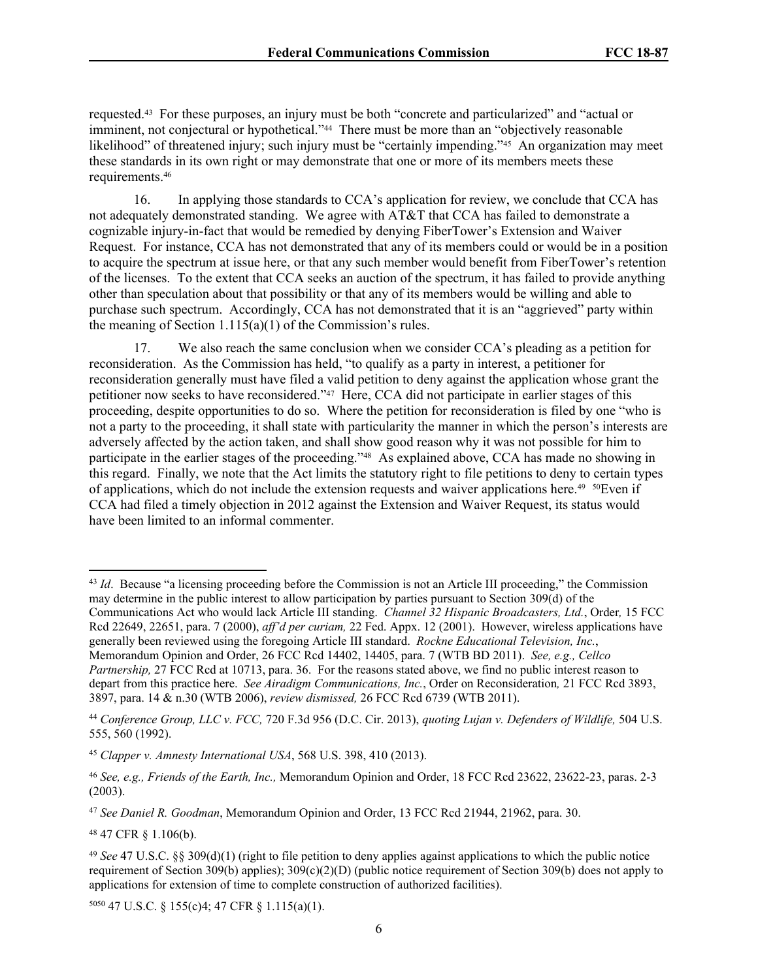requested.<sup>43</sup> For these purposes, an injury must be both "concrete and particularized" and "actual or imminent, not conjectural or hypothetical."<sup>44</sup> There must be more than an "objectively reasonable likelihood" of threatened injury; such injury must be "certainly impending."<sup>45</sup> An organization may meet these standards in its own right or may demonstrate that one or more of its members meets these requirements.<sup>46</sup>

16. In applying those standards to CCA's application for review, we conclude that CCA has not adequately demonstrated standing. We agree with AT&T that CCA has failed to demonstrate a cognizable injury-in-fact that would be remedied by denying FiberTower's Extension and Waiver Request. For instance, CCA has not demonstrated that any of its members could or would be in a position to acquire the spectrum at issue here, or that any such member would benefit from FiberTower's retention of the licenses. To the extent that CCA seeks an auction of the spectrum, it has failed to provide anything other than speculation about that possibility or that any of its members would be willing and able to purchase such spectrum. Accordingly, CCA has not demonstrated that it is an "aggrieved" party within the meaning of Section  $1.115(a)(1)$  of the Commission's rules.

17. We also reach the same conclusion when we consider CCA's pleading as a petition for reconsideration. As the Commission has held, "to qualify as a party in interest, a petitioner for reconsideration generally must have filed a valid petition to deny against the application whose grant the petitioner now seeks to have reconsidered."<sup>47</sup> Here, CCA did not participate in earlier stages of this proceeding, despite opportunities to do so. Where the petition for reconsideration is filed by one "who is not a party to the proceeding, it shall state with particularity the manner in which the person's interests are adversely affected by the action taken, and shall show good reason why it was not possible for him to participate in the earlier stages of the proceeding."<sup>48</sup> As explained above, CCA has made no showing in this regard. Finally, we note that the Act limits the statutory right to file petitions to deny to certain types of applications, which do not include the extension requests and waiver applications here.<sup>49</sup> <sup>50</sup>Even if CCA had filed a timely objection in 2012 against the Extension and Waiver Request, its status would have been limited to an informal commenter.

<sup>48</sup> 47 CFR § 1.106(b).

<sup>5050</sup> 47 U.S.C. § 155(c)4; 47 CFR § 1.115(a)(1).

<sup>&</sup>lt;sup>43</sup> *Id.* Because "a licensing proceeding before the Commission is not an Article III proceeding," the Commission may determine in the public interest to allow participation by parties pursuant to Section 309(d) of the Communications Act who would lack Article III standing. *Channel 32 Hispanic Broadcasters, Ltd.*, Order*,* 15 FCC Rcd 22649, 22651, para. 7 (2000), *aff'd per curiam,* 22 Fed. Appx. 12 (2001). However, wireless applications have generally been reviewed using the foregoing Article III standard. *Rockne Educational Television, Inc.*, Memorandum Opinion and Order, 26 FCC Rcd 14402, 14405, para. 7 (WTB BD 2011). *See, e.g., Cellco Partnership,* 27 FCC Rcd at 10713, para. 36. For the reasons stated above, we find no public interest reason to depart from this practice here. *See Airadigm Communications, Inc.*, Order on Reconsideration*,* 21 FCC Rcd 3893, 3897, para. 14 & n.30 (WTB 2006), *review dismissed,* 26 FCC Rcd 6739 (WTB 2011).

<sup>44</sup> *Conference Group, LLC v. FCC,* 720 F.3d 956 (D.C. Cir. 2013), *quoting Lujan v. Defenders of Wildlife,* 504 U.S. 555, 560 (1992).

<sup>45</sup> *Clapper v. Amnesty International USA*, 568 U.S. 398, 410 (2013).

<sup>46</sup> *See, e.g., Friends of the Earth, Inc.,* Memorandum Opinion and Order, 18 FCC Rcd 23622, 23622-23, paras. 2-3 (2003).

<sup>47</sup> *See Daniel R. Goodman*, Memorandum Opinion and Order, 13 FCC Rcd 21944, 21962, para. 30.

<sup>49</sup> *See* 47 U.S.C. §§ 309(d)(1) (right to file petition to deny applies against applications to which the public notice requirement of Section 309(b) applies); 309(c)(2)(D) (public notice requirement of Section 309(b) does not apply to applications for extension of time to complete construction of authorized facilities).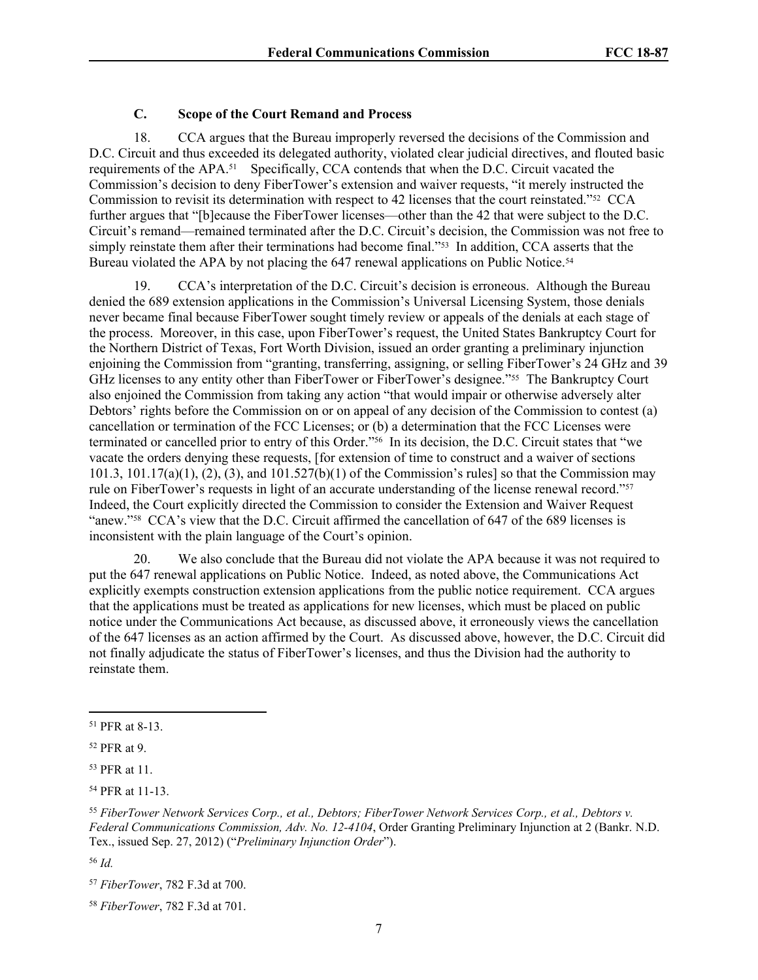## **C. Scope of the Court Remand and Process**

18. CCA argues that the Bureau improperly reversed the decisions of the Commission and D.C. Circuit and thus exceeded its delegated authority, violated clear judicial directives, and flouted basic requirements of the APA.<sup>51</sup> Specifically, CCA contends that when the D.C. Circuit vacated the Commission's decision to deny FiberTower's extension and waiver requests, "it merely instructed the Commission to revisit its determination with respect to 42 licenses that the court reinstated."<sup>52</sup> CCA further argues that "[b]ecause the FiberTower licenses—other than the 42 that were subject to the D.C. Circuit's remand—remained terminated after the D.C. Circuit's decision, the Commission was not free to simply reinstate them after their terminations had become final."<sup>53</sup> In addition, CCA asserts that the Bureau violated the APA by not placing the 647 renewal applications on Public Notice.<sup>54</sup>

19. CCA's interpretation of the D.C. Circuit's decision is erroneous. Although the Bureau denied the 689 extension applications in the Commission's Universal Licensing System, those denials never became final because FiberTower sought timely review or appeals of the denials at each stage of the process. Moreover, in this case, upon FiberTower's request, the United States Bankruptcy Court for the Northern District of Texas, Fort Worth Division, issued an order granting a preliminary injunction enjoining the Commission from "granting, transferring, assigning, or selling FiberTower's 24 GHz and 39 GHz licenses to any entity other than FiberTower or FiberTower's designee."<sup>55</sup> The Bankruptcy Court also enjoined the Commission from taking any action "that would impair or otherwise adversely alter Debtors' rights before the Commission on or on appeal of any decision of the Commission to contest (a) cancellation or termination of the FCC Licenses; or (b) a determination that the FCC Licenses were terminated or cancelled prior to entry of this Order."<sup>56</sup> In its decision, the D.C. Circuit states that "we vacate the orders denying these requests, [for extension of time to construct and a waiver of sections 101.3,  $101.17(a)(1)$ ,  $(2)$ ,  $(3)$ , and  $101.527(b)(1)$  of the Commission's rules] so that the Commission may rule on FiberTower's requests in light of an accurate understanding of the license renewal record."<sup>57</sup> Indeed, the Court explicitly directed the Commission to consider the Extension and Waiver Request "anew."<sup>58</sup> CCA's view that the D.C. Circuit affirmed the cancellation of 647 of the 689 licenses is inconsistent with the plain language of the Court's opinion.

20. We also conclude that the Bureau did not violate the APA because it was not required to put the 647 renewal applications on Public Notice. Indeed, as noted above, the Communications Act explicitly exempts construction extension applications from the public notice requirement. CCA argues that the applications must be treated as applications for new licenses, which must be placed on public notice under the Communications Act because, as discussed above, it erroneously views the cancellation of the 647 licenses as an action affirmed by the Court. As discussed above, however, the D.C. Circuit did not finally adjudicate the status of FiberTower's licenses, and thus the Division had the authority to reinstate them.

<sup>51</sup> PFR at 8-13.

<sup>52</sup> PFR at 9.

<sup>53</sup> PFR at 11.

<sup>54</sup> PFR at 11-13.

<sup>55</sup> *FiberTower Network Services Corp., et al., Debtors; FiberTower Network Services Corp., et al., Debtors v. Federal Communications Commission, Adv. No. 12-4104*, Order Granting Preliminary Injunction at 2 (Bankr. N.D. Tex., issued Sep. 27, 2012) ("*Preliminary Injunction Order*").

<sup>56</sup> *Id.*

<sup>57</sup> *FiberTower*, 782 F.3d at 700.

<sup>58</sup> *FiberTower*, 782 F.3d at 701.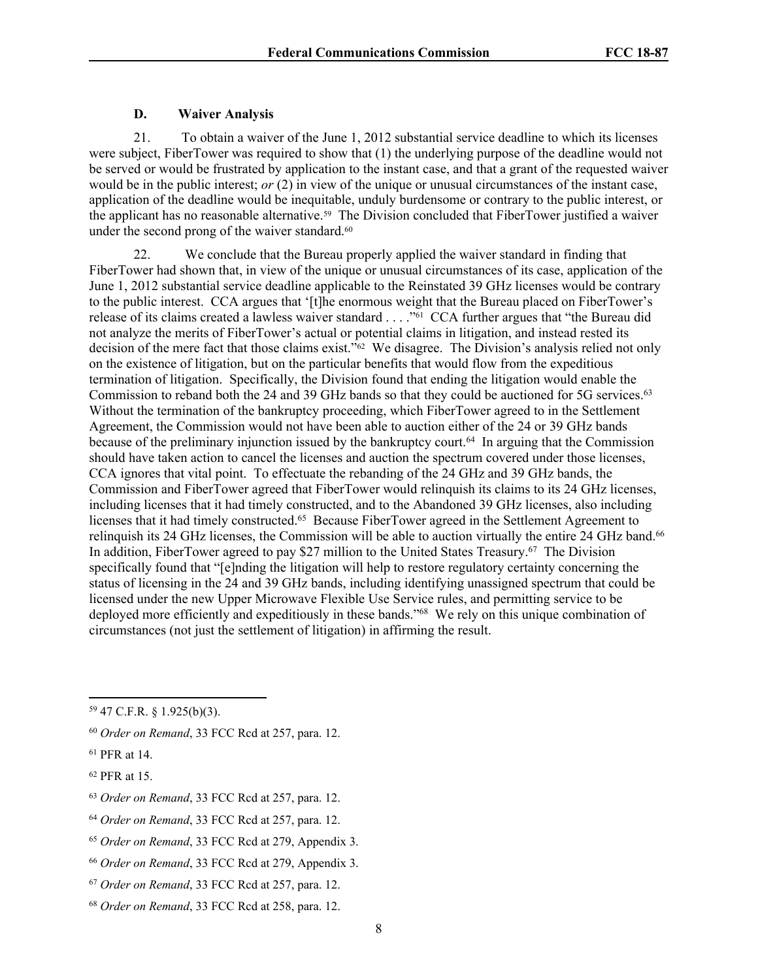#### **D. Waiver Analysis**

21. To obtain a waiver of the June 1, 2012 substantial service deadline to which its licenses were subject, FiberTower was required to show that (1) the underlying purpose of the deadline would not be served or would be frustrated by application to the instant case, and that a grant of the requested waiver would be in the public interest; *or* (2) in view of the unique or unusual circumstances of the instant case, application of the deadline would be inequitable, unduly burdensome or contrary to the public interest, or the applicant has no reasonable alternative.<sup>59</sup> The Division concluded that FiberTower justified a waiver under the second prong of the waiver standard.<sup>60</sup>

<span id="page-7-0"></span>22. We conclude that the Bureau properly applied the waiver standard in finding that FiberTower had shown that, in view of the unique or unusual circumstances of its case, application of the June 1, 2012 substantial service deadline applicable to the Reinstated 39 GHz licenses would be contrary to the public interest. CCA argues that '[t]he enormous weight that the Bureau placed on FiberTower's release of its claims created a lawless waiver standard . . . . "<sup>61</sup> CCA further argues that "the Bureau did not analyze the merits of FiberTower's actual or potential claims in litigation, and instead rested its decision of the mere fact that those claims exist."<sup>62</sup> We disagree. The Division's analysis relied not only on the existence of litigation, but on the particular benefits that would flow from the expeditious termination of litigation. Specifically, the Division found that ending the litigation would enable the Commission to reband both the 24 and 39 GHz bands so that they could be auctioned for 5G services.<sup>63</sup> Without the termination of the bankruptcy proceeding, which FiberTower agreed to in the Settlement Agreement, the Commission would not have been able to auction either of the 24 or 39 GHz bands because of the preliminary injunction issued by the bankruptcy court.<sup>64</sup> In arguing that the Commission should have taken action to cancel the licenses and auction the spectrum covered under those licenses, CCA ignores that vital point. To effectuate the rebanding of the 24 GHz and 39 GHz bands, the Commission and FiberTower agreed that FiberTower would relinquish its claims to its 24 GHz licenses, including licenses that it had timely constructed, and to the Abandoned 39 GHz licenses, also including licenses that it had timely constructed.<sup>65</sup> Because FiberTower agreed in the Settlement Agreement to relinquish its 24 GHz licenses, the Commission will be able to auction virtually the entire 24 GHz band.<sup>66</sup> In addition, FiberTower agreed to pay \$27 million to the United States Treasury.<sup>67</sup> The Division specifically found that "[e]nding the litigation will help to restore regulatory certainty concerning the status of licensing in the 24 and 39 GHz bands, including identifying unassigned spectrum that could be licensed under the new Upper Microwave Flexible Use Service rules, and permitting service to be deployed more efficiently and expeditiously in these bands."<sup>68</sup> We rely on this unique combination of circumstances (not just the settlement of litigation) in affirming the result.

<sup>59</sup> 47 C.F.R. § 1.925(b)(3).

<sup>60</sup> *Order on Remand*, 33 FCC Rcd at 257, para. 12.

<sup>61</sup> PFR at 14.

<sup>62</sup> PFR at 15.

<sup>63</sup> *Order on Remand*, 33 FCC Rcd at 257, para. 12.

<sup>64</sup> *Order on Remand*, 33 FCC Rcd at 257, para. 12.

<sup>65</sup> *Order on Remand*, 33 FCC Rcd at 279, Appendix 3.

<sup>66</sup> *Order on Remand*, 33 FCC Rcd at 279, Appendix 3.

<sup>67</sup> *Order on Remand*, 33 FCC Rcd at 257, para. 12.

<sup>68</sup> *Order on Remand*, 33 FCC Rcd at 258, para. 12.